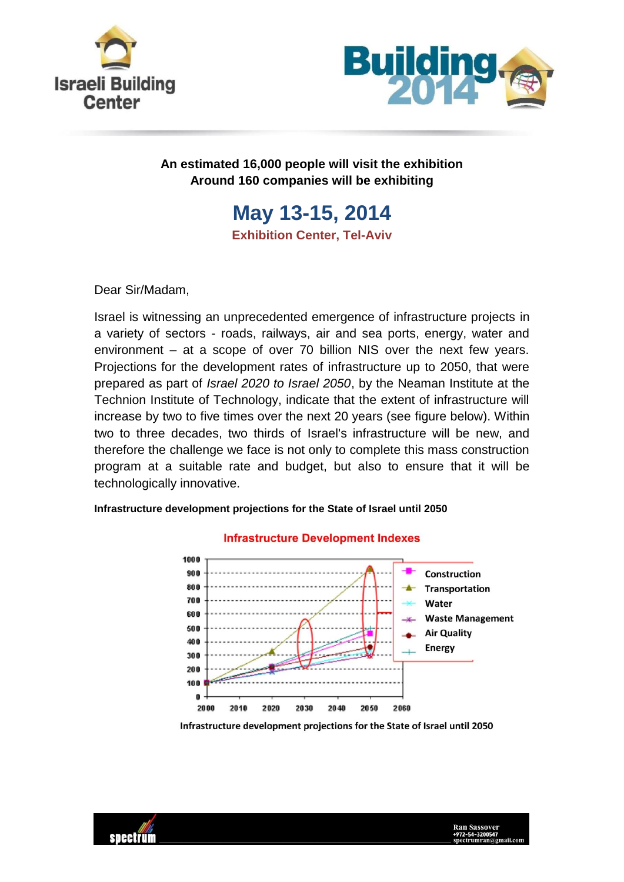



## **An estimated 16,000 people will visit the exhibition Around 160 companies will be exhibiting**

# **May 13-15, 2014 Exhibition Center, Tel-Aviv**

Dear Sir/Madam,

Israel is witnessing an unprecedented emergence of infrastructure projects in a variety of sectors - roads, railways, air and sea ports, energy, water and environment – at a scope of over 70 billion NIS over the next few years. Projections for the development rates of infrastructure up to 2050, that were prepared as part of *Israel 2020 to Israel 2050*, by the Neaman Institute at the Technion Institute of Technology, indicate that the extent of infrastructure will increase by two to five times over the next 20 years (see figure below). Within two to three decades, two thirds of Israel's infrastructure will be new, and therefore the challenge we face is not only to complete this mass construction program at a suitable rate and budget, but also to ensure that it will be technologically innovative.

#### **Infrastructure Development Indexes** 1000 Construction 900 800 **Transportation** 700 Water 600 **Waste Management** 500 **Air Quality** 40.0 **Energy**  $\overline{a}$ 300 200 100

**Infrastructure development projections for the State of Israel until 2050**

2040 Infrastructure development projections for the State of Israel until 2050

2050

2060



n 2000

2010

2020

2030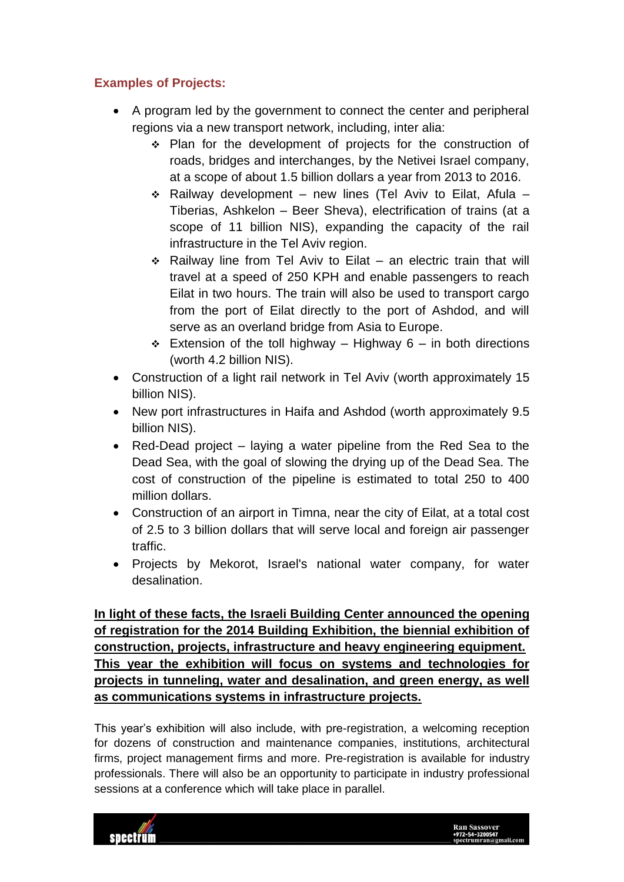## **Examples of Projects:**

- A program led by the government to connect the center and peripheral regions via a new transport network, including, inter alia:
	- \* Plan for the development of projects for the construction of roads, bridges and interchanges, by the Netivei Israel company, at a scope of about 1.5 billion dollars a year from 2013 to 2016.
	- $\div$  Railway development new lines (Tel Aviv to Eilat, Afula Tiberias, Ashkelon – Beer Sheva), electrification of trains (at a scope of 11 billion NIS), expanding the capacity of the rail infrastructure in the Tel Aviv region.
	- $\div$  Railway line from Tel Aviv to Eilat an electric train that will travel at a speed of 250 KPH and enable passengers to reach Eilat in two hours. The train will also be used to transport cargo from the port of Eilat directly to the port of Ashdod, and will serve as an overland bridge from Asia to Europe.
	- Extension of the toll highway Highway 6 in both directions (worth 4.2 billion NIS).
- Construction of a light rail network in Tel Aviv (worth approximately 15 billion NIS).
- New port infrastructures in Haifa and Ashdod (worth approximately 9.5 billion NIS).
- Red-Dead project laying a water pipeline from the Red Sea to the Dead Sea, with the goal of slowing the drying up of the Dead Sea. The cost of construction of the pipeline is estimated to total 250 to 400 million dollars.
- Construction of an airport in Timna, near the city of Eilat, at a total cost of 2.5 to 3 billion dollars that will serve local and foreign air passenger traffic.
- Projects by Mekorot, Israel's national water company, for water desalination.

**In light of these facts, the Israeli Building Center announced the opening of registration for the 2014 Building Exhibition, the biennial exhibition of construction, projects, infrastructure and heavy engineering equipment. This year the exhibition will focus on systems and technologies for projects in tunneling, water and desalination, and green energy, as well as communications systems in infrastructure projects.**

This year's exhibition will also include, with pre-registration, a welcoming reception for dozens of construction and maintenance companies, institutions, architectural firms, project management firms and more. Pre-registration is available for industry professionals. There will also be an opportunity to participate in industry professional sessions at a conference which will take place in parallel.